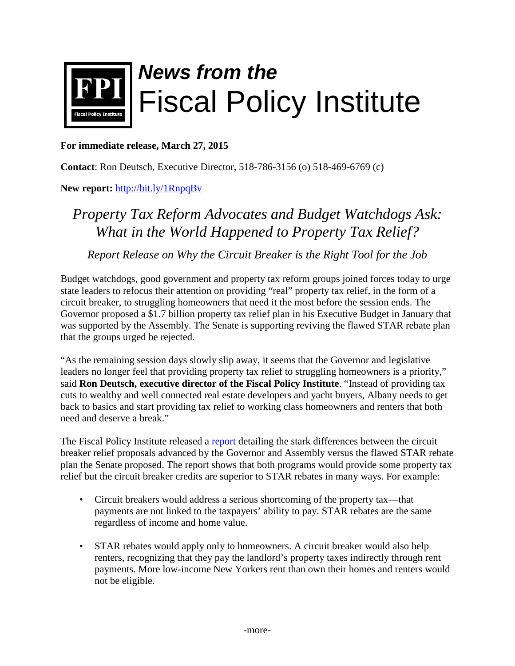

## **For immediate release, March 27, 2015**

**Contact**: Ron Deutsch, Executive Director, 518-786-3156 (o) 518-469-6769 (c)

**New report:** <http://bit.ly/1RnpqBv>

## *Property Tax Reform Advocates and Budget Watchdogs Ask: What in the World Happened to Property Tax Relief?*

*Report Release on Why the Circuit Breaker is the Right Tool for the Job*

Budget watchdogs, good government and property tax reform groups joined forces today to urge state leaders to refocus their attention on providing "real" property tax relief, in the form of a circuit breaker, to struggling homeowners that need it the most before the session ends. The Governor proposed a \$1.7 billion property tax relief plan in his Executive Budget in January that was supported by the Assembly. The Senate is supporting reviving the flawed STAR rebate plan that the groups urged be rejected.

"As the remaining session days slowly slip away, it seems that the Governor and legislative leaders no longer feel that providing property tax relief to struggling homeowners is a priority," said **Ron Deutsch, executive director of the Fiscal Policy Institute**. "Instead of providing tax cuts to wealthy and well connected real estate developers and yacht buyers, Albany needs to get back to basics and start providing tax relief to working class homeowners and renters that both need and deserve a break."

The Fiscal Policy Institute released a [report](http://bit.ly/1RnpqBv) detailing the stark differences between the circuit breaker relief proposals advanced by the Governor and Assembly versus the flawed STAR rebate plan the Senate proposed. The report shows that both programs would provide some property tax relief but the circuit breaker credits are superior to STAR rebates in many ways. For example:

- Circuit breakers would address a serious shortcoming of the property tax—that payments are not linked to the taxpayers' ability to pay. STAR rebates are the same regardless of income and home value.
- STAR rebates would apply only to homeowners. A circuit breaker would also help renters, recognizing that they pay the landlord's property taxes indirectly through rent payments. More low-income New Yorkers rent than own their homes and renters would not be eligible.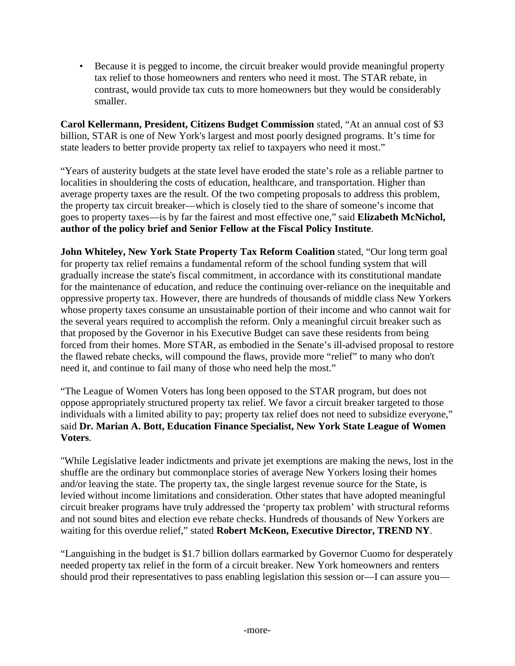• Because it is pegged to income, the circuit breaker would provide meaningful property tax relief to those homeowners and renters who need it most. The STAR rebate, in contrast, would provide tax cuts to more homeowners but they would be considerably smaller.

**Carol Kellermann, President, Citizens Budget Commission** stated, "At an annual cost of \$3 billion, STAR is one of New York's largest and most poorly designed programs. It's time for state leaders to better provide property tax relief to taxpayers who need it most."

"Years of austerity budgets at the state level have eroded the state's role as a reliable partner to localities in shouldering the costs of education, healthcare, and transportation. Higher than average property taxes are the result. Of the two competing proposals to address this problem, the property tax circuit breaker—which is closely tied to the share of someone's income that goes to property taxes—is by far the fairest and most effective one," said **Elizabeth McNichol, author of the policy brief and Senior Fellow at the Fiscal Policy Institute**.

**John Whiteley, New York State Property Tax Reform Coalition** stated, "Our long term goal for property tax relief remains a fundamental reform of the school funding system that will gradually increase the state's fiscal commitment, in accordance with its constitutional mandate for the maintenance of education, and reduce the continuing over-reliance on the inequitable and oppressive property tax. However, there are hundreds of thousands of middle class New Yorkers whose property taxes consume an unsustainable portion of their income and who cannot wait for the several years required to accomplish the reform. Only a meaningful circuit breaker such as that proposed by the Governor in his Executive Budget can save these residents from being forced from their homes. More STAR, as embodied in the Senate's ill-advised proposal to restore the flawed rebate checks, will compound the flaws, provide more "relief" to many who don't need it, and continue to fail many of those who need help the most."

"The League of Women Voters has long been opposed to the STAR program, but does not oppose appropriately structured property tax relief. We favor a circuit breaker targeted to those individuals with a limited ability to pay; property tax relief does not need to subsidize everyone," said **Dr. Marian A. Bott, Education Finance Specialist, New York State League of Women Voters**.

"While Legislative leader indictments and private jet exemptions are making the news, lost in the shuffle are the ordinary but commonplace stories of average New Yorkers losing their homes and/or leaving the state. The property tax, the single largest revenue source for the State, is levied without income limitations and consideration. Other states that have adopted meaningful circuit breaker programs have truly addressed the 'property tax problem' with structural reforms and not sound bites and election eve rebate checks. Hundreds of thousands of New Yorkers are waiting for this overdue relief," stated **Robert McKeon, Executive Director, TREND NY**.

"Languishing in the budget is \$1.7 billion dollars earmarked by Governor Cuomo for desperately needed property tax relief in the form of a circuit breaker. New York homeowners and renters should prod their representatives to pass enabling legislation this session or—I can assure you